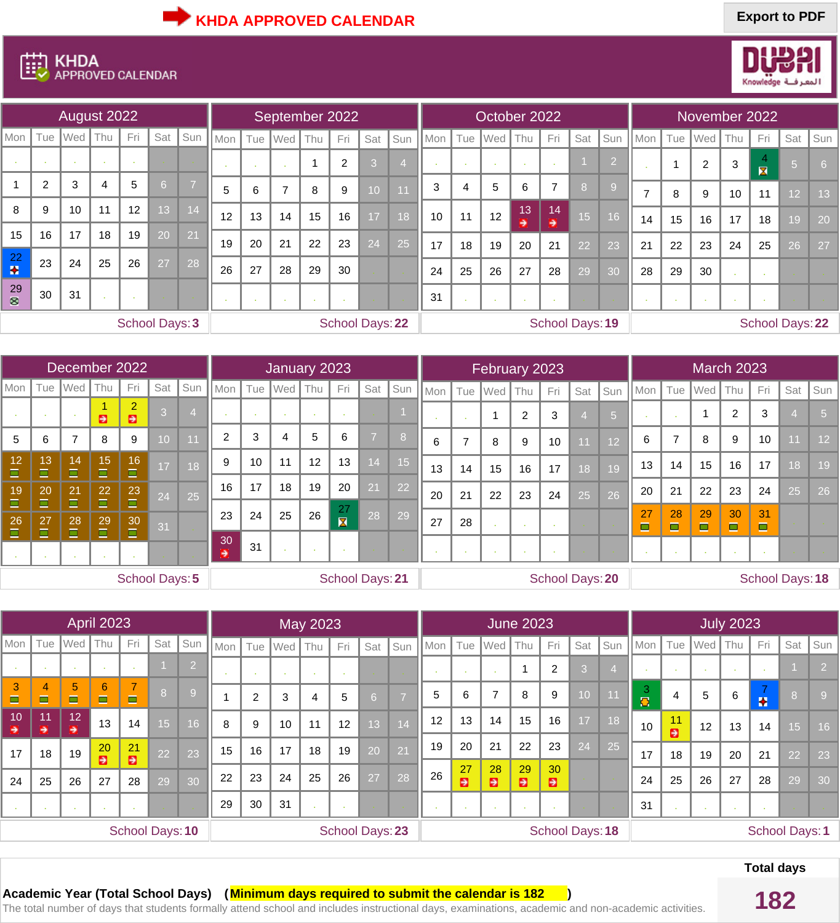

## **EED KHDA**<br>**EED** APPROVED CALENDAR

|                 |                | August 2022 |                |     |                       |                |     |     | September 2022        |                |                |                 |     |            |     |                 | October 2022 |                     |                 |                |     |     |                | November 2022 |                                           |                 |     |
|-----------------|----------------|-------------|----------------|-----|-----------------------|----------------|-----|-----|-----------------------|----------------|----------------|-----------------|-----|------------|-----|-----------------|--------------|---------------------|-----------------|----------------|-----|-----|----------------|---------------|-------------------------------------------|-----------------|-----|
| Mon             | Tue            | Wed         | Thu            | Fri | Sat                   | Sun            | Mon | Tue | $\sqrt{\mathsf{Wed}}$ | $\vert$ Thu    | Fri            | Sat             | Sun | <b>Mon</b> | Tue | Wed             | Thu          | Fri                 | Sat             | Sun            | Mon | Tue | <b>Wed</b>     | Thu           | Fri                                       | Sat             | Sun |
|                 | 14.1           | <b>COL</b>  | - 11           |     |                       |                |     |     |                       | $\overline{A}$ | $\overline{2}$ | 3               |     |            |     | . н.            |              |                     |                 | $\overline{2}$ |     |     | $\overline{2}$ | 3             | $\overline{4}$<br>$\overline{\mathbf{x}}$ | 51              | 6   |
|                 | $\overline{2}$ | 3           | $\overline{4}$ | 5   | 6                     | $\overline{7}$ | 5   | 6   | $\rightarrow$         | 8              | 9              | 10              | 11  | 3          | 4   | $5\overline{)}$ | 6            | $\overline{7}$      | 8               | $\overline{9}$ | 7   | 8   | 9              | 10            | 11                                        | 12 <sup>2</sup> | 13  |
| 8               | 9              | 10          | 11             | 12  | 13                    | 14             | 12  | 13  | 14                    | 15             | 16             | 17              | 18  | 10         | 11  | 12              | 13           | 14<br>$\Rightarrow$ | 15 <sup>1</sup> | 16             | 14  | 15  | 16             | 17            | 18                                        | 19 <sup>°</sup> | 20  |
| 15              | 16             | 17          | 18             | 19  | 20                    | 21             | 19  | 20  | 21                    | 22             | 23             | 24              | 25  | 17         | 18  | 19              | 2.<br>20     | 21                  | 22              | 23             | 21  | 22  | 23             | 24            | 25                                        | 26              | 27  |
| 22<br>$\bullet$ | 23             | 24          | 25             | 26  | $\sqrt{27}$           | 28             | 26  | 27  | 28                    | 29             | 30             |                 |     | 24         | 25  | 26              | 27           | 28                  | 29              | 30             | 28  | 29  | 30             |               |                                           |                 |     |
| 29<br>⊗         | 30             | 31          |                |     |                       |                |     |     |                       |                | - 1            |                 |     | 31         |     | - 11            |              |                     |                 |                |     |     |                |               |                                           |                 |     |
|                 |                |             |                |     | <b>School Days: 3</b> |                |     |     |                       |                |                | School Days: 22 |     |            |     |                 |              |                     | School Days: 19 |                |     |     |                |               | School Days: 22                           |                 |     |

|                |              | December 2022             |              |                                  |     |                 |                      |     | January 2023 |     |                               |                 |                 |     |         | February 2023         |                |                        |     |                 |         |                |         | <b>March 2023</b>    |                      |                        |                 |
|----------------|--------------|---------------------------|--------------|----------------------------------|-----|-----------------|----------------------|-----|--------------|-----|-------------------------------|-----------------|-----------------|-----|---------|-----------------------|----------------|------------------------|-----|-----------------|---------|----------------|---------|----------------------|----------------------|------------------------|-----------------|
| Mon            | Tue          | <b>Wed</b>                | Thu          | Fri                              | Sat | Sun             | Mon                  | Tue | Wed          | Thu | Fri                           | Sat             | Sun             | Mon | $ $ Tue | $\sqrt{\mathsf{Wed}}$ | Thu            | Fri                    | Sat | Sun             | Mon     | Tue            | Wed     | Thu                  | Fri                  | Sat                    | Sun             |
|                |              |                           | Ð            | $\overline{2}$<br>$\blacksquare$ | 3   |                 |                      |     |              |     |                               |                 |                 |     |         |                       | $\overline{2}$ | 3                      |     | $5\overline{5}$ |         | <b>COL</b>     |         | $\overline{2}$       | 3                    |                        | 5               |
| $5\phantom{1}$ | 6            | ⇁                         | 8            | 9                                | 10  | 11              | 2                    | 3   | 4            | 5   | 6                             | $\overline{ }$  | 8               | 6   |         | 8                     | 9              | 10                     | 11  | 12              | 6       | $\overline{7}$ | 8       | 9                    | 10                   |                        | $\overline{1}2$ |
| 12<br>$\Box$   | 13<br>$\Box$ | 14<br>$\Box$              | 15<br>Ξ      | 16<br>$\Box$                     | 17  | $\overline{18}$ | 9                    | 10  | 11           | 12  | 13                            | 14              | 15 <sup>1</sup> | 13  | 14      | 15                    | 16             | 17                     | 18  | 19              | 13      | 14             | 15      | 16                   | 17                   | 8                      | 19              |
| 19<br>$\Box$   | 20<br>$\Box$ | 21<br>$\Box$              | 22<br>o      | 23<br>$\Box$                     | 24  | 25              | 16                   | 17  | 18           | 19  | 20                            | 21              | $\overline{22}$ | 20  | 21      | 22                    | 23             | 24                     | 25  | 26              | 20      | 21             | 22      | 23                   | 24                   | 25                     | 26              |
| 26<br>$\Box$   | 27<br>$\Box$ | $\overline{28}$<br>$\Box$ | 29<br>$\Box$ | 30<br>$\Box$                     | 31  |                 | 23                   | 24  | 25           | 26  | 27<br>$\overline{\mathbf{X}}$ | 28              | 29              | 27  | 28      |                       |                |                        |     |                 | 27<br>Ō | 28<br>$\Box$   | 29<br>O | 30<br>$\blacksquare$ | 31<br>$\blacksquare$ |                        |                 |
|                |              |                           |              |                                  |     |                 | 30 <sub>1</sub><br>Ð | 31  |              |     |                               |                 |                 |     |         |                       |                |                        |     |                 |         | . .            |         |                      |                      |                        |                 |
|                |              |                           |              | <b>School Days: 5</b>            |     |                 |                      |     |              |     |                               | School Days: 21 |                 |     |         |                       |                | <b>School Days: 20</b> |     |                 |         |                |         |                      |                      | <b>School Days: 18</b> |                 |

|                     |                     |                          | <b>April 2023</b>   |                 |                 |     |     |                |                           | <b>May 2023</b> |                 |                |     |     |         |                          | <b>June 2023</b> |                        |                 |                |                |                |     | <b>July 2023</b> |     |                 |                       |
|---------------------|---------------------|--------------------------|---------------------|-----------------|-----------------|-----|-----|----------------|---------------------------|-----------------|-----------------|----------------|-----|-----|---------|--------------------------|------------------|------------------------|-----------------|----------------|----------------|----------------|-----|------------------|-----|-----------------|-----------------------|
| Mon                 | Tue                 | Wed                      | Thu                 | <b>Fri</b>      | Sat             | Sun | Mon | Tue            | $\sqrt{\mathsf{Wed}}$ Thu |                 | Fri             | Sat            | Sun | Mon | Tue     | <b>Wed</b>               | Thu              | Fri                    | Sat             | Sun            | Mon            | Tue            | Wed | $\parallel$ Thu  | Fri | Sat             | Sun                   |
|                     |                     |                          |                     |                 |                 | 2   |     |                |                           |                 |                 |                |     |     |         |                          |                  | $\overline{2}$         | 3               | $\overline{4}$ |                |                |     |                  |     |                 |                       |
| 3<br>$\blacksquare$ | 4<br>$\blacksquare$ | $5\phantom{.}$<br>$\Box$ | 6<br>$\blacksquare$ | 7<br>$\Box$     | 8               | 9   |     | $\overline{2}$ | 3                         | 4               | 5               | 6 <sup>1</sup> | - 7 | 5   | 6       | $\overline{\phantom{a}}$ | 8                | 9                      | 0               |                | 3<br>$\bullet$ | $\overline{4}$ | 5   | 6                | Ŧ   | 8               |                       |
| 10<br>Э             | 11<br>→             | 12<br>∍                  | 13                  | 14              | 15 <sup>2</sup> | 16  | 8   | 9              | 10                        | 11              | 12              | 13             | 14  | 12  | 13      | 14                       | 15               | 16                     | $\overline{17}$ | 18             | 10             | 11<br>Ð        | 12  | 13               | 14  | 15              | 16                    |
| 17                  | 18                  | 19                       | 20<br>Ð             | 21<br>Ð         | 22              | 23  | 15  | 16             | 17                        | 18              | 19              | 20             | 21  | 19  | 20      | 21                       | 22               | 23                     | 24              | 25             | 17             | 18             | 19  | 20               | 21  | $\overline{22}$ | 23                    |
| 24                  | 25                  | 26                       | 27                  | 28              | 29              | 30  | 22  | 23             | 24                        | 25              | 26              | 27             | 28  | 26  | 27<br>Ð | 28<br>Ð                  | 29<br>Ð          | 30<br>Ð                |                 |                | 24             | 25             | 26  | 27               | 28  | 29              | 30                    |
|                     |                     |                          |                     |                 |                 |     | 29  | 30             | 31                        |                 |                 |                |     |     |         |                          |                  |                        |                 |                | 31             |                |     |                  |     |                 |                       |
|                     |                     |                          |                     | School Days: 10 |                 |     |     |                |                           |                 | School Days: 23 |                |     |     |         |                          |                  | <b>School Days: 18</b> |                 |                |                |                |     |                  |     |                 | <b>School Days: 1</b> |

## **Total days**

**Academic Year (Total School Days) ( <mark>Minimum days required to submit the calendar is 182</mark> )<br>The total number of days that students formally attend school and includes instructional days, examinations, academic and non-ac**